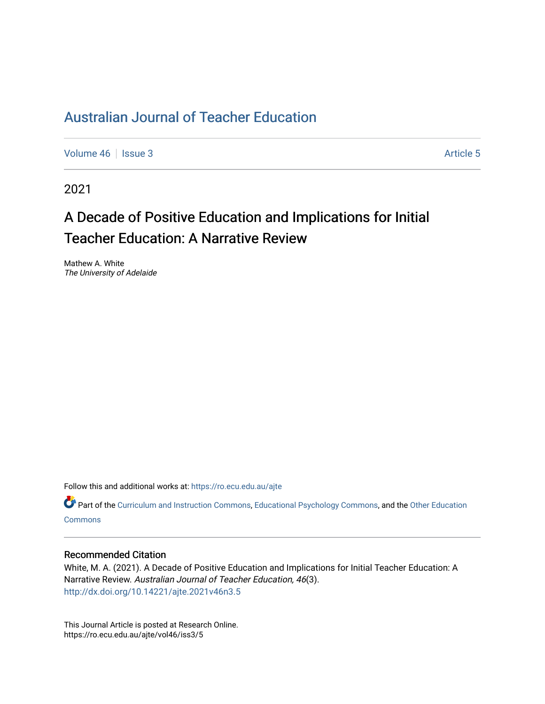# [Australian Journal of Teacher Education](https://ro.ecu.edu.au/ajte)

[Volume 46](https://ro.ecu.edu.au/ajte/vol46) | [Issue 3](https://ro.ecu.edu.au/ajte/vol46/iss3) Article 5

2021

# A Decade of Positive Education and Implications for Initial Teacher Education: A Narrative Review

Mathew A. White The University of Adelaide

Follow this and additional works at: [https://ro.ecu.edu.au/ajte](https://ro.ecu.edu.au/ajte?utm_source=ro.ecu.edu.au%2Fajte%2Fvol46%2Fiss3%2F5&utm_medium=PDF&utm_campaign=PDFCoverPages) 

Part of the [Curriculum and Instruction Commons,](http://network.bepress.com/hgg/discipline/786?utm_source=ro.ecu.edu.au%2Fajte%2Fvol46%2Fiss3%2F5&utm_medium=PDF&utm_campaign=PDFCoverPages) [Educational Psychology Commons,](http://network.bepress.com/hgg/discipline/798?utm_source=ro.ecu.edu.au%2Fajte%2Fvol46%2Fiss3%2F5&utm_medium=PDF&utm_campaign=PDFCoverPages) and the Other Education **Commons** 

#### Recommended Citation

White, M. A. (2021). A Decade of Positive Education and Implications for Initial Teacher Education: A Narrative Review. Australian Journal of Teacher Education, 46(3). <http://dx.doi.org/10.14221/ajte.2021v46n3.5>

This Journal Article is posted at Research Online. https://ro.ecu.edu.au/ajte/vol46/iss3/5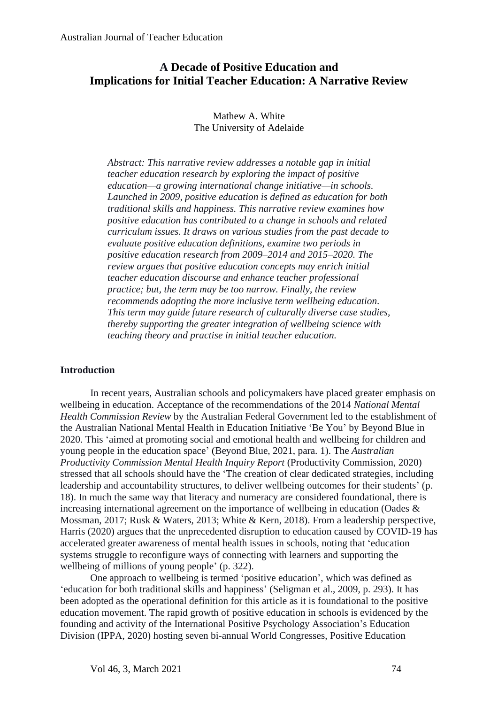# **A Decade of Positive Education and Implications for Initial Teacher Education: A Narrative Review**

## Mathew A. White The University of Adelaide

*Abstract: This narrative review addresses a notable gap in initial teacher education research by exploring the impact of positive education—a growing international change initiative—in schools. Launched in 2009, positive education is defined as education for both traditional skills and happiness. This narrative review examines how positive education has contributed to a change in schools and related curriculum issues. It draws on various studies from the past decade to evaluate positive education definitions, examine two periods in positive education research from 2009–2014 and 2015–2020. The review argues that positive education concepts may enrich initial teacher education discourse and enhance teacher professional practice; but, the term may be too narrow. Finally, the review recommends adopting the more inclusive term wellbeing education. This term may guide future research of culturally diverse case studies, thereby supporting the greater integration of wellbeing science with teaching theory and practise in initial teacher education.*

## **Introduction**

In recent years, Australian schools and policymakers have placed greater emphasis on wellbeing in education. Acceptance of the recommendations of the 2014 *National Mental Health Commission Review* by the Australian Federal Government led to the establishment of the Australian National Mental Health in Education Initiative 'Be You' by Beyond Blue in 2020. This 'aimed at promoting social and emotional health and wellbeing for children and young people in the education space' (Beyond Blue, 2021, para. 1). The *Australian Productivity Commission Mental Health Inquiry Report* (Productivity Commission, 2020) stressed that all schools should have the 'The creation of clear dedicated strategies, including leadership and accountability structures, to deliver wellbeing outcomes for their students' (p. 18). In much the same way that literacy and numeracy are considered foundational, there is increasing international agreement on the importance of wellbeing in education (Oades & Mossman, 2017; Rusk & Waters, 2013; White & Kern, 2018). From a leadership perspective, Harris (2020) argues that the unprecedented disruption to education caused by COVID-19 has accelerated greater awareness of mental health issues in schools, noting that 'education systems struggle to reconfigure ways of connecting with learners and supporting the wellbeing of millions of young people' (p. 322).

One approach to wellbeing is termed 'positive education', which was defined as 'education for both traditional skills and happiness' (Seligman et al., 2009, p. 293). It has been adopted as the operational definition for this article as it is foundational to the positive education movement. The rapid growth of positive education in schools is evidenced by the founding and activity of the International Positive Psychology Association's Education Division (IPPA, 2020) hosting seven bi-annual World Congresses, Positive Education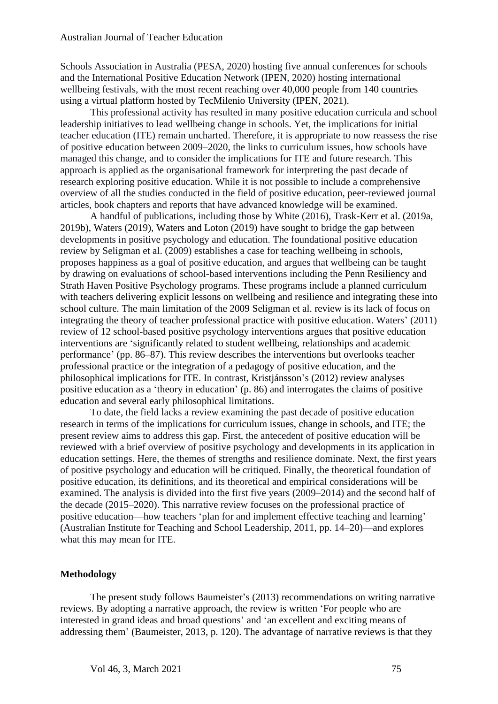Schools Association in Australia (PESA, 2020) hosting five annual conferences for schools and the International Positive Education Network (IPEN, 2020) hosting international wellbeing festivals, with the most recent reaching over 40,000 people from 140 countries using a virtual platform hosted by TecMilenio University (IPEN, 2021).

This professional activity has resulted in many positive education curricula and school leadership initiatives to lead wellbeing change in schools. Yet, the implications for initial teacher education (ITE) remain uncharted. Therefore, it is appropriate to now reassess the rise of positive education between 2009–2020, the links to curriculum issues, how schools have managed this change, and to consider the implications for ITE and future research. This approach is applied as the organisational framework for interpreting the past decade of research exploring positive education. While it is not possible to include a comprehensive overview of all the studies conducted in the field of positive education, peer-reviewed journal articles, book chapters and reports that have advanced knowledge will be examined.

A handful of publications, including those by White (2016), Trask-Kerr et al. (2019a, 2019b), Waters (2019), Waters and Loton (2019) have sought to bridge the gap between developments in positive psychology and education. The foundational positive education review by Seligman et al. (2009) establishes a case for teaching wellbeing in schools, proposes happiness as a goal of positive education, and argues that wellbeing can be taught by drawing on evaluations of school-based interventions including the Penn Resiliency and Strath Haven Positive Psychology programs. These programs include a planned curriculum with teachers delivering explicit lessons on wellbeing and resilience and integrating these into school culture. The main limitation of the 2009 Seligman et al. review is its lack of focus on integrating the theory of teacher professional practice with positive education. Waters' (2011) review of 12 school-based positive psychology interventions argues that positive education interventions are 'significantly related to student wellbeing, relationships and academic performance' (pp. 86–87). This review describes the interventions but overlooks teacher professional practice or the integration of a pedagogy of positive education, and the philosophical implications for ITE. In contrast, Kristjánsson's (2012) review analyses positive education as a 'theory in education' (p. 86) and interrogates the claims of positive education and several early philosophical limitations.

To date, the field lacks a review examining the past decade of positive education research in terms of the implications for curriculum issues, change in schools, and ITE; the present review aims to address this gap. First, the antecedent of positive education will be reviewed with a brief overview of positive psychology and developments in its application in education settings. Here, the themes of strengths and resilience dominate. Next, the first years of positive psychology and education will be critiqued. Finally, the theoretical foundation of positive education, its definitions, and its theoretical and empirical considerations will be examined. The analysis is divided into the first five years (2009–2014) and the second half of the decade (2015–2020). This narrative review focuses on the professional practice of positive education—how teachers 'plan for and implement effective teaching and learning' (Australian Institute for Teaching and School Leadership, 2011, pp. 14–20)—and explores what this may mean for ITE.

#### **Methodology**

The present study follows Baumeister's (2013) recommendations on writing narrative reviews. By adopting a narrative approach, the review is written 'For people who are interested in grand ideas and broad questions' and 'an excellent and exciting means of addressing them' (Baumeister, 2013, p. 120). The advantage of narrative reviews is that they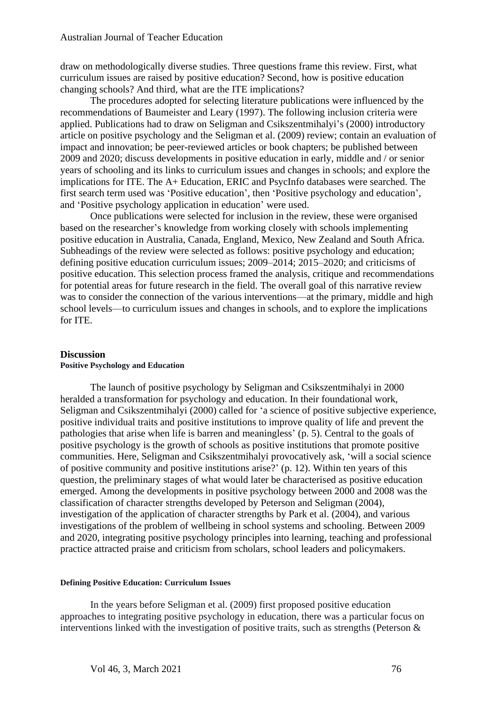draw on methodologically diverse studies. Three questions frame this review. First, what curriculum issues are raised by positive education? Second, how is positive education changing schools? And third, what are the ITE implications?

The procedures adopted for selecting literature publications were influenced by the recommendations of Baumeister and Leary (1997). The following inclusion criteria were applied. Publications had to draw on Seligman and Csikszentmihalyi's (2000) introductory article on positive psychology and the Seligman et al. (2009) review; contain an evaluation of impact and innovation; be peer-reviewed articles or book chapters; be published between 2009 and 2020; discuss developments in positive education in early, middle and / or senior years of schooling and its links to curriculum issues and changes in schools; and explore the implications for ITE. The A+ Education, ERIC and PsycInfo databases were searched. The first search term used was 'Positive education', then 'Positive psychology and education', and 'Positive psychology application in education' were used.

Once publications were selected for inclusion in the review, these were organised based on the researcher's knowledge from working closely with schools implementing positive education in Australia, Canada, England, Mexico, New Zealand and South Africa. Subheadings of the review were selected as follows: positive psychology and education; defining positive education curriculum issues; 2009–2014; 2015–2020; and criticisms of positive education. This selection process framed the analysis, critique and recommendations for potential areas for future research in the field. The overall goal of this narrative review was to consider the connection of the various interventions—at the primary, middle and high school levels—to curriculum issues and changes in schools, and to explore the implications for ITE.

#### **Discussion Positive Psychology and Education**

The launch of positive psychology by Seligman and Csikszentmihalyi in 2000 heralded a transformation for psychology and education. In their foundational work, Seligman and Csikszentmihalyi (2000) called for 'a science of positive subjective experience, positive individual traits and positive institutions to improve quality of life and prevent the pathologies that arise when life is barren and meaningless' (p. 5). Central to the goals of positive psychology is the growth of schools as positive institutions that promote positive communities. Here, Seligman and Csikszentmihalyi provocatively ask, 'will a social science of positive community and positive institutions arise?' (p. 12). Within ten years of this question, the preliminary stages of what would later be characterised as positive education emerged. Among the developments in positive psychology between 2000 and 2008 was the classification of character strengths developed by Peterson and Seligman (2004), investigation of the application of character strengths by Park et al. (2004), and various investigations of the problem of wellbeing in school systems and schooling. Between 2009 and 2020, integrating positive psychology principles into learning, teaching and professional practice attracted praise and criticism from scholars, school leaders and policymakers.

#### **Defining Positive Education: Curriculum Issues**

In the years before Seligman et al. (2009) first proposed positive education approaches to integrating positive psychology in education, there was a particular focus on interventions linked with the investigation of positive traits, such as strengths (Peterson &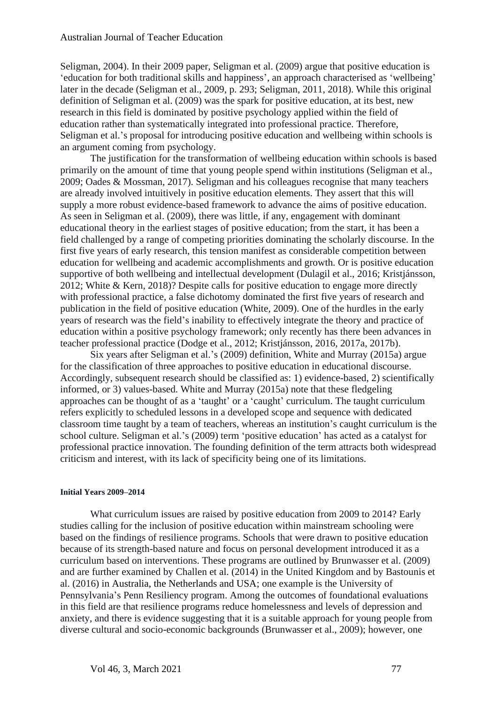#### Australian Journal of Teacher Education

Seligman, 2004). In their 2009 paper, Seligman et al. (2009) argue that positive education is 'education for both traditional skills and happiness', an approach characterised as 'wellbeing' later in the decade (Seligman et al., 2009, p. 293; Seligman, 2011, 2018). While this original definition of Seligman et al. (2009) was the spark for positive education, at its best, new research in this field is dominated by positive psychology applied within the field of education rather than systematically integrated into professional practice. Therefore, Seligman et al.'s proposal for introducing positive education and wellbeing within schools is an argument coming from psychology.

The justification for the transformation of wellbeing education within schools is based primarily on the amount of time that young people spend within institutions (Seligman et al., 2009; Oades & Mossman, 2017). Seligman and his colleagues recognise that many teachers are already involved intuitively in positive education elements. They assert that this will supply a more robust evidence-based framework to advance the aims of positive education. As seen in Seligman et al. (2009), there was little, if any, engagement with dominant educational theory in the earliest stages of positive education; from the start, it has been a field challenged by a range of competing priorities dominating the scholarly discourse. In the first five years of early research, this tension manifest as considerable competition between education for wellbeing and academic accomplishments and growth. Or is positive education supportive of both wellbeing and intellectual development (Dulagil et al., 2016; Kristjánsson, 2012; White & Kern, 2018)? Despite calls for positive education to engage more directly with professional practice, a false dichotomy dominated the first five years of research and publication in the field of positive education (White, 2009). One of the hurdles in the early years of research was the field's inability to effectively integrate the theory and practice of education within a positive psychology framework; only recently has there been advances in teacher professional practice (Dodge et al., 2012; Kristjánsson, 2016, 2017a, 2017b).

Six years after Seligman et al.'s (2009) definition, White and Murray (2015a) argue for the classification of three approaches to positive education in educational discourse. Accordingly, subsequent research should be classified as: 1) evidence-based, 2) scientifically informed, or 3) values-based. White and Murray (2015a) note that these fledgeling approaches can be thought of as a 'taught' or a 'caught' curriculum. The taught curriculum refers explicitly to scheduled lessons in a developed scope and sequence with dedicated classroom time taught by a team of teachers, whereas an institution's caught curriculum is the school culture. Seligman et al.'s (2009) term 'positive education' has acted as a catalyst for professional practice innovation. The founding definition of the term attracts both widespread criticism and interest, with its lack of specificity being one of its limitations.

#### **Initial Years 2009–2014**

What curriculum issues are raised by positive education from 2009 to 2014? Early studies calling for the inclusion of positive education within mainstream schooling were based on the findings of resilience programs. Schools that were drawn to positive education because of its strength-based nature and focus on personal development introduced it as a curriculum based on interventions. These programs are outlined by Brunwasser et al. (2009) and are further examined by Challen et al. (2014) in the United Kingdom and by Bastounis et al. (2016) in Australia, the Netherlands and USA; one example is the University of Pennsylvania's Penn Resiliency program. Among the outcomes of foundational evaluations in this field are that resilience programs reduce homelessness and levels of depression and anxiety, and there is evidence suggesting that it is a suitable approach for young people from diverse cultural and socio-economic backgrounds (Brunwasser et al., 2009); however, one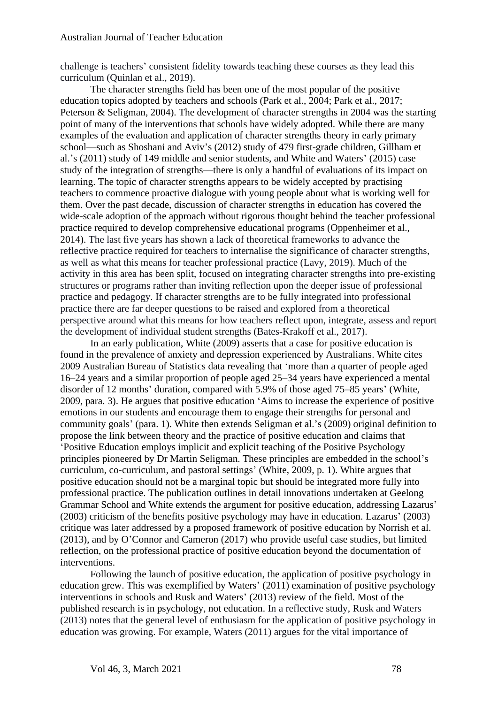challenge is teachers' consistent fidelity towards teaching these courses as they lead this curriculum (Quinlan et al., 2019).

The character strengths field has been one of the most popular of the positive education topics adopted by teachers and schools (Park et al., 2004; Park et al., 2017; Peterson & Seligman, 2004). The development of character strengths in 2004 was the starting point of many of the interventions that schools have widely adopted. While there are many examples of the evaluation and application of character strengths theory in early primary school—such as Shoshani and Aviv's (2012) study of 479 first-grade children, Gillham et al.'s (2011) study of 149 middle and senior students, and White and Waters' (2015) case study of the integration of strengths—there is only a handful of evaluations of its impact on learning. The topic of character strengths appears to be widely accepted by practising teachers to commence proactive dialogue with young people about what is working well for them. Over the past decade, discussion of character strengths in education has covered the wide-scale adoption of the approach without rigorous thought behind the teacher professional practice required to develop comprehensive educational programs (Oppenheimer et al., 2014). The last five years has shown a lack of theoretical frameworks to advance the reflective practice required for teachers to internalise the significance of character strengths, as well as what this means for teacher professional practice (Lavy, 2019). Much of the activity in this area has been split, focused on integrating character strengths into pre-existing structures or programs rather than inviting reflection upon the deeper issue of professional practice and pedagogy. If character strengths are to be fully integrated into professional practice there are far deeper questions to be raised and explored from a theoretical perspective around what this means for how teachers reflect upon, integrate, assess and report the development of individual student strengths (Bates-Krakoff et al., 2017).

In an early publication, White (2009) asserts that a case for positive education is found in the prevalence of anxiety and depression experienced by Australians. White cites 2009 Australian Bureau of Statistics data revealing that 'more than a quarter of people aged 16–24 years and a similar proportion of people aged 25–34 years have experienced a mental disorder of 12 months' duration, compared with 5.9% of those aged 75–85 years' (White, 2009, para. 3). He argues that positive education 'Aims to increase the experience of positive emotions in our students and encourage them to engage their strengths for personal and community goals' (para. 1). White then extends Seligman et al.'s (2009) original definition to propose the link between theory and the practice of positive education and claims that 'Positive Education employs implicit and explicit teaching of the Positive Psychology principles pioneered by Dr Martin Seligman. These principles are embedded in the school's curriculum, co-curriculum, and pastoral settings' (White, 2009, p. 1). White argues that positive education should not be a marginal topic but should be integrated more fully into professional practice. The publication outlines in detail innovations undertaken at Geelong Grammar School and White extends the argument for positive education, addressing Lazarus' (2003) criticism of the benefits positive psychology may have in education. Lazarus' (2003) critique was later addressed by a proposed framework of positive education by Norrish et al. (2013), and by O'Connor and Cameron (2017) who provide useful case studies, but limited reflection, on the professional practice of positive education beyond the documentation of interventions.

Following the launch of positive education, the application of positive psychology in education grew. This was exemplified by Waters' (2011) examination of positive psychology interventions in schools and Rusk and Waters' (2013) review of the field. Most of the published research is in psychology, not education. In a reflective study, Rusk and Waters (2013) notes that the general level of enthusiasm for the application of positive psychology in education was growing. For example, Waters (2011) argues for the vital importance of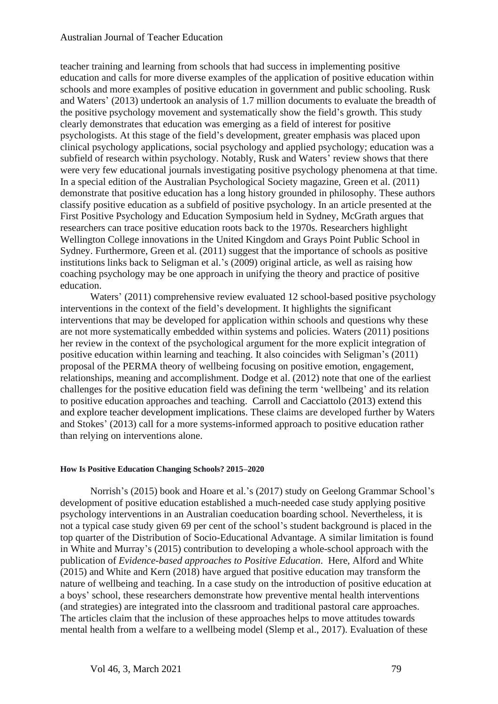### Australian Journal of Teacher Education

teacher training and learning from schools that had success in implementing positive education and calls for more diverse examples of the application of positive education within schools and more examples of positive education in government and public schooling. Rusk and Waters' (2013) undertook an analysis of 1.7 million documents to evaluate the breadth of the positive psychology movement and systematically show the field's growth. This study clearly demonstrates that education was emerging as a field of interest for positive psychologists. At this stage of the field's development, greater emphasis was placed upon clinical psychology applications, social psychology and applied psychology; education was a subfield of research within psychology. Notably, Rusk and Waters' review shows that there were very few educational journals investigating positive psychology phenomena at that time. In a special edition of the Australian Psychological Society magazine, Green et al. (2011) demonstrate that positive education has a long history grounded in philosophy. These authors classify positive education as a subfield of positive psychology. In an article presented at the First Positive Psychology and Education Symposium held in Sydney, McGrath argues that researchers can trace positive education roots back to the 1970s. Researchers highlight Wellington College innovations in the United Kingdom and Grays Point Public School in Sydney. Furthermore, Green et al. (2011) suggest that the importance of schools as positive institutions links back to Seligman et al.'s (2009) original article, as well as raising how coaching psychology may be one approach in unifying the theory and practice of positive education.

Waters' (2011) comprehensive review evaluated 12 school-based positive psychology interventions in the context of the field's development. It highlights the significant interventions that may be developed for application within schools and questions why these are not more systematically embedded within systems and policies. Waters (2011) positions her review in the context of the psychological argument for the more explicit integration of positive education within learning and teaching. It also coincides with Seligman's (2011) proposal of the PERMA theory of wellbeing focusing on positive emotion, engagement, relationships, meaning and accomplishment. Dodge et al. (2012) note that one of the earliest challenges for the positive education field was defining the term 'wellbeing' and its relation to positive education approaches and teaching. Carroll and Cacciattolo (2013) extend this and explore teacher development implications. These claims are developed further by Waters and Stokes' (2013) call for a more systems-informed approach to positive education rather than relying on interventions alone.

### **How Is Positive Education Changing Schools? 2015–2020**

Norrish's (2015) book and Hoare et al.'s (2017) study on Geelong Grammar School's development of positive education established a much-needed case study applying positive psychology interventions in an Australian coeducation boarding school. Nevertheless, it is not a typical case study given 69 per cent of the school's student background is placed in the top quarter of the Distribution of Socio-Educational Advantage. A similar limitation is found in White and Murray's (2015) contribution to developing a whole-school approach with the publication of *Evidence-based approaches to Positive Education*. Here, Alford and White (2015) and White and Kern (2018) have argued that positive education may transform the nature of wellbeing and teaching. In a case study on the introduction of positive education at a boys' school, these researchers demonstrate how preventive mental health interventions (and strategies) are integrated into the classroom and traditional pastoral care approaches. The articles claim that the inclusion of these approaches helps to move attitudes towards mental health from a welfare to a wellbeing model (Slemp et al., 2017). Evaluation of these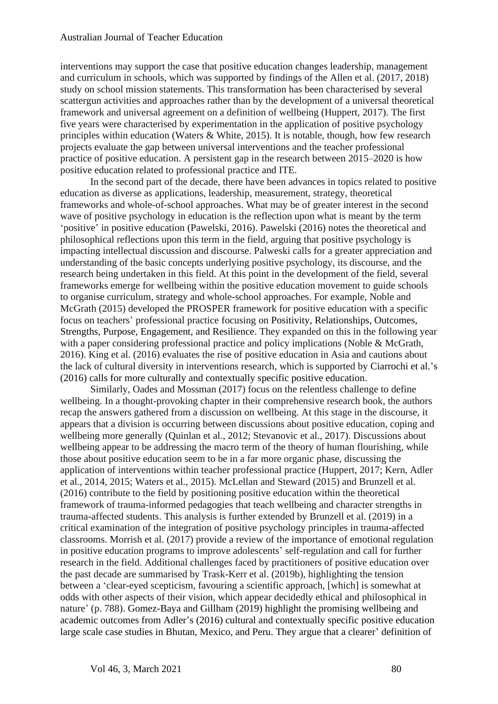interventions may support the case that positive education changes leadership, management and curriculum in schools, which was supported by findings of the Allen et al. (2017, 2018) study on school mission statements. This transformation has been characterised by several scattergun activities and approaches rather than by the development of a universal theoretical framework and universal agreement on a definition of wellbeing (Huppert, 2017). The first five years were characterised by experimentation in the application of positive psychology principles within education (Waters & White, 2015). It is notable, though, how few research projects evaluate the gap between universal interventions and the teacher professional practice of positive education. A persistent gap in the research between 2015–2020 is how positive education related to professional practice and ITE.

In the second part of the decade, there have been advances in topics related to positive education as diverse as applications, leadership, measurement, strategy, theoretical frameworks and whole-of-school approaches. What may be of greater interest in the second wave of positive psychology in education is the reflection upon what is meant by the term 'positive' in positive education (Pawelski, 2016). Pawelski (2016) notes the theoretical and philosophical reflections upon this term in the field, arguing that positive psychology is impacting intellectual discussion and discourse. Palweski calls for a greater appreciation and understanding of the basic concepts underlying positive psychology, its discourse, and the research being undertaken in this field. At this point in the development of the field, several frameworks emerge for wellbeing within the positive education movement to guide schools to organise curriculum, strategy and whole-school approaches. For example, Noble and McGrath (2015) developed the PROSPER framework for positive education with a specific focus on teachers' professional practice focusing on Positivity, Relationships, Outcomes, Strengths, Purpose, Engagement, and Resilience. They expanded on this in the following year with a paper considering professional practice and policy implications (Noble & McGrath, 2016). King et al. (2016) evaluates the rise of positive education in Asia and cautions about the lack of cultural diversity in interventions research, which is supported by Ciarrochi et al.'s (2016) calls for more culturally and contextually specific positive education.

Similarly, Oades and Mossman (2017) focus on the relentless challenge to define wellbeing. In a thought-provoking chapter in their comprehensive research book, the authors recap the answers gathered from a discussion on wellbeing. At this stage in the discourse, it appears that a division is occurring between discussions about positive education, coping and wellbeing more generally (Quinlan et al., 2012; Stevanovic et al., 2017). Discussions about wellbeing appear to be addressing the macro term of the theory of human flourishing, while those about positive education seem to be in a far more organic phase, discussing the application of interventions within teacher professional practice (Huppert, 2017; Kern, Adler et al., 2014, 2015; Waters et al., 2015). McLellan and Steward (2015) and Brunzell et al. (2016) contribute to the field by positioning positive education within the theoretical framework of trauma-informed pedagogies that teach wellbeing and character strengths in trauma-affected students. This analysis is further extended by Brunzell et al. (2019) in a critical examination of the integration of positive psychology principles in trauma-affected classrooms. Morrish et al. (2017) provide a review of the importance of emotional regulation in positive education programs to improve adolescents' self-regulation and call for further research in the field. Additional challenges faced by practitioners of positive education over the past decade are summarised by Trask-Kerr et al. (2019b), highlighting the tension between a 'clear-eyed scepticism, favouring a scientific approach, [which] is somewhat at odds with other aspects of their vision, which appear decidedly ethical and philosophical in nature' (p. 788). Gomez-Baya and Gillham (2019) highlight the promising wellbeing and academic outcomes from Adler's (2016) cultural and contextually specific positive education large scale case studies in Bhutan, Mexico, and Peru. They argue that a clearer' definition of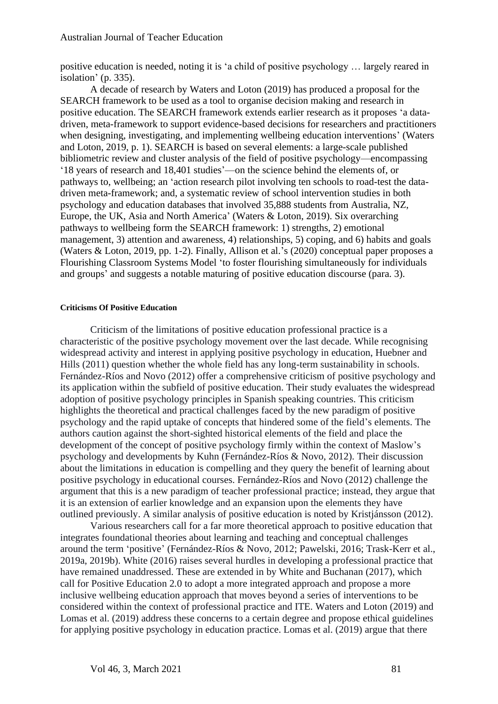positive education is needed, noting it is 'a child of positive psychology … largely reared in isolation' (p. 335).

A decade of research by Waters and Loton (2019) has produced a proposal for the SEARCH framework to be used as a tool to organise decision making and research in positive education. The SEARCH framework extends earlier research as it proposes 'a datadriven, meta-framework to support evidence-based decisions for researchers and practitioners when designing, investigating, and implementing wellbeing education interventions' (Waters and Loton, 2019, p. 1). SEARCH is based on several elements: a large-scale published bibliometric review and cluster analysis of the field of positive psychology—encompassing '18 years of research and 18,401 studies'—on the science behind the elements of, or pathways to, wellbeing; an 'action research pilot involving ten schools to road-test the datadriven meta-framework; and, a systematic review of school intervention studies in both psychology and education databases that involved 35,888 students from Australia, NZ, Europe, the UK, Asia and North America' (Waters & Loton, 2019). Six overarching pathways to wellbeing form the SEARCH framework: 1) strengths, 2) emotional management, 3) attention and awareness, 4) relationships, 5) coping, and 6) habits and goals (Waters & Loton, 2019, pp. 1-2). Finally, Allison et al.'s (2020) conceptual paper proposes a Flourishing Classroom Systems Model 'to foster flourishing simultaneously for individuals and groups' and suggests a notable maturing of positive education discourse (para. 3).

#### **Criticisms Of Positive Education**

Criticism of the limitations of positive education professional practice is a characteristic of the positive psychology movement over the last decade. While recognising widespread activity and interest in applying positive psychology in education, Huebner and Hills (2011) question whether the whole field has any long-term sustainability in schools. Fernández-Ríos and Novo (2012) offer a comprehensive criticism of positive psychology and its application within the subfield of positive education. Their study evaluates the widespread adoption of positive psychology principles in Spanish speaking countries. This criticism highlights the theoretical and practical challenges faced by the new paradigm of positive psychology and the rapid uptake of concepts that hindered some of the field's elements. The authors caution against the short-sighted historical elements of the field and place the development of the concept of positive psychology firmly within the context of Maslow's psychology and developments by Kuhn (Fernández-Ríos & Novo, 2012). Their discussion about the limitations in education is compelling and they query the benefit of learning about positive psychology in educational courses. Fernández-Ríos and Novo (2012) challenge the argument that this is a new paradigm of teacher professional practice; instead, they argue that it is an extension of earlier knowledge and an expansion upon the elements they have outlined previously. A similar analysis of positive education is noted by Kristjánsson (2012).

Various researchers call for a far more theoretical approach to positive education that integrates foundational theories about learning and teaching and conceptual challenges around the term 'positive' (Fernández-Ríos & Novo, 2012; Pawelski, 2016; Trask-Kerr et al., 2019a, 2019b). White (2016) raises several hurdles in developing a professional practice that have remained unaddressed. These are extended in by White and Buchanan (2017), which call for Positive Education 2*.*0 to adopt a more integrated approach and propose a more inclusive wellbeing education approach that moves beyond a series of interventions to be considered within the context of professional practice and ITE. Waters and Loton (2019) and Lomas et al. (2019) address these concerns to a certain degree and propose ethical guidelines for applying positive psychology in education practice. Lomas et al. (2019) argue that there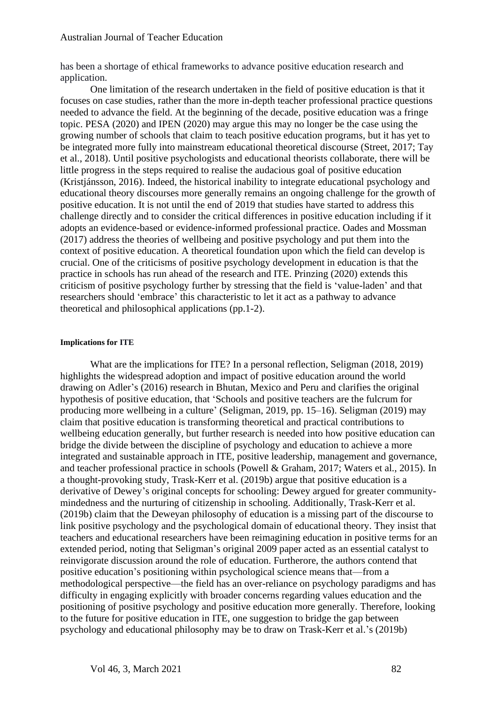has been a shortage of ethical frameworks to advance positive education research and application.

One limitation of the research undertaken in the field of positive education is that it focuses on case studies, rather than the more in-depth teacher professional practice questions needed to advance the field. At the beginning of the decade, positive education was a fringe topic. PESA (2020) and IPEN (2020) may argue this may no longer be the case using the growing number of schools that claim to teach positive education programs, but it has yet to be integrated more fully into mainstream educational theoretical discourse (Street, 2017; Tay et al., 2018). Until positive psychologists and educational theorists collaborate, there will be little progress in the steps required to realise the audacious goal of positive education (Kristjánsson, 2016). Indeed, the historical inability to integrate educational psychology and educational theory discourses more generally remains an ongoing challenge for the growth of positive education. It is not until the end of 2019 that studies have started to address this challenge directly and to consider the critical differences in positive education including if it adopts an evidence-based or evidence-informed professional practice. Oades and Mossman (2017) address the theories of wellbeing and positive psychology and put them into the context of positive education. A theoretical foundation upon which the field can develop is crucial. One of the criticisms of positive psychology development in education is that the practice in schools has run ahead of the research and ITE. Prinzing (2020) extends this criticism of positive psychology further by stressing that the field is 'value-laden' and that researchers should 'embrace' this characteristic to let it act as a pathway to advance theoretical and philosophical applications (pp.1-2).

#### **Implications for ITE**

What are the implications for ITE? In a personal reflection, Seligman (2018, 2019) highlights the widespread adoption and impact of positive education around the world drawing on Adler's (2016) research in Bhutan, Mexico and Peru and clarifies the original hypothesis of positive education, that 'Schools and positive teachers are the fulcrum for producing more wellbeing in a culture' (Seligman, 2019, pp. 15–16). Seligman (2019) may claim that positive education is transforming theoretical and practical contributions to wellbeing education generally, but further research is needed into how positive education can bridge the divide between the discipline of psychology and education to achieve a more integrated and sustainable approach in ITE, positive leadership, management and governance, and teacher professional practice in schools (Powell & Graham, 2017; Waters et al., 2015). In a thought-provoking study, Trask-Kerr et al. (2019b) argue that positive education is a derivative of Dewey's original concepts for schooling: Dewey argued for greater communitymindedness and the nurturing of citizenship in schooling. Additionally, Trask-Kerr et al. (2019b) claim that the Deweyan philosophy of education is a missing part of the discourse to link positive psychology and the psychological domain of educational theory. They insist that teachers and educational researchers have been reimagining education in positive terms for an extended period, noting that Seligman's original 2009 paper acted as an essential catalyst to reinvigorate discussion around the role of education. Furtherore, the authors contend that positive education's positioning within psychological science means that—from a methodological perspective—the field has an over-reliance on psychology paradigms and has difficulty in engaging explicitly with broader concerns regarding values education and the positioning of positive psychology and positive education more generally. Therefore, looking to the future for positive education in ITE, one suggestion to bridge the gap between psychology and educational philosophy may be to draw on Trask-Kerr et al.'s (2019b)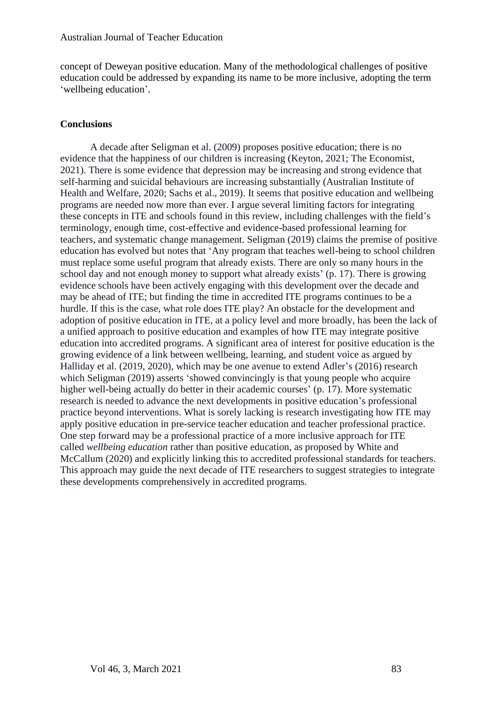concept of Deweyan positive education. Many of the methodological challenges of positive education could be addressed by expanding its name to be more inclusive, adopting the term 'wellbeing education'.

# **Conclusions**

A decade after Seligman et al. (2009) proposes positive education; there is no evidence that the happiness of our children is increasing (Keyton, 2021; The Economist, 2021). There is some evidence that depression may be increasing and strong evidence that self-harming and suicidal behaviours are increasing substantially (Australian Institute of Health and Welfare, 2020; Sachs et al., 2019). It seems that positive education and wellbeing programs are needed now more than ever. I argue several limiting factors for integrating these concepts in ITE and schools found in this review, including challenges with the field's terminology, enough time, cost-effective and evidence-based professional learning for teachers, and systematic change management. Seligman (2019) claims the premise of positive education has evolved but notes that 'Any program that teaches well-being to school children must replace some useful program that already exists. There are only so many hours in the school day and not enough money to support what already exists' (p. 17). There is growing evidence schools have been actively engaging with this development over the decade and may be ahead of ITE; but finding the time in accredited ITE programs continues to be a hurdle. If this is the case, what role does ITE play? An obstacle for the development and adoption of positive education in ITE, at a policy level and more broadly, has been the lack of a unified approach to positive education and examples of how ITE may integrate positive education into accredited programs. A significant area of interest for positive education is the growing evidence of a link between wellbeing, learning, and student voice as argued by Halliday et al. (2019, 2020), which may be one avenue to extend Adler's (2016) research which Seligman (2019) asserts 'showed convincingly is that young people who acquire higher well-being actually do better in their academic courses' (p. 17). More systematic research is needed to advance the next developments in positive education's professional practice beyond interventions. What is sorely lacking is research investigating how ITE may apply positive education in pre-service teacher education and teacher professional practice. One step forward may be a professional practice of a more inclusive approach for ITE called *wellbeing education* rather than positive education, as proposed by White and McCallum (2020) and explicitly linking this to accredited professional standards for teachers. This approach may guide the next decade of ITE researchers to suggest strategies to integrate these developments comprehensively in accredited programs.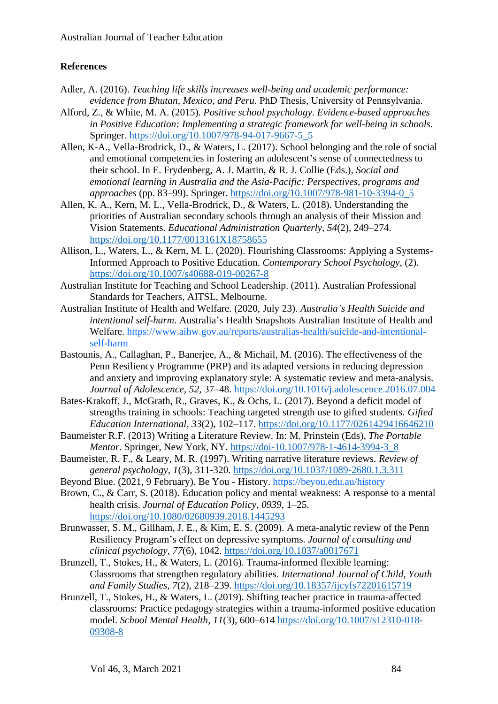# **References**

- Adler, A. (2016). *Teaching life skills increases well-being and academic performance: evidence from Bhutan, Mexico, and Peru*. PhD Thesis, University of Pennsylvania.
- Alford, Z., & White, M. A. (2015). *Positive school psychology*. *Evidence-based approaches in Positive Education: Implementing a strategic framework for well-being in schools*. Springer. [https://doi.org/10.1007/978-94-017-9667-5\\_5](https://doi.org/10.1007/978-94-017-9667-5_5)
- Allen, K-A., Vella-Brodrick, D., & Waters, L. (2017). School belonging and the role of social and emotional competencies in fostering an adolescent's sense of connectedness to their school. In E. Frydenberg, A. J. Martin, & R. J. Collie (Eds.), *Social and emotional learning in Australia and the Asia-Pacific: Perspectives, programs and approaches* (pp. 83–99). Springer. [https://doi.org/10.1007/978-981-10-3394-0\\_5](https://doi.org/10.1007/978-981-10-3394-0_5)
- Allen, K. A., Kern, M. L., Vella-Brodrick, D., & Waters, L. (2018). Understanding the priorities of Australian secondary schools through an analysis of their Mission and Vision Statements. *Educational Administration Quarterly*, *54*(2), 249–274. <https://doi.org/10.1177/0013161X18758655>
- Allison, L., Waters, L., & Kern, M. L. (2020). Flourishing Classrooms: Applying a Systems-Informed Approach to Positive Education. *Contemporary School Psychology*, (2). <https://doi.org/10.1007/s40688-019-00267-8>
- Australian Institute for Teaching and School Leadership. (2011). Australian Professional Standards for Teachers, AITSL, Melbourne.
- Australian Institute of Health and Welfare. (2020, July 23). *Australia's Health Suicide and intentional self-harm*. Australia's Health Snapshots Australian Institute of Health and Welfare. [https://www.aihw.gov.au/reports/australias-health/suicide-and-intentional](https://www.aihw.gov.au/reports/australias-health/suicide-and-intentional-self-harm)[self-harm](https://www.aihw.gov.au/reports/australias-health/suicide-and-intentional-self-harm)
- Bastounis, A., Callaghan, P., Banerjee, A., & Michail, M. (2016). The effectiveness of the Penn Resiliency Programme (PRP) and its adapted versions in reducing depression and anxiety and improving explanatory style: A systematic review and meta-analysis. *Journal of Adolescence*, *52*, 37–48.<https://doi.org/10.1016/j.adolescence.2016.07.004>
- Bates-Krakoff, J., McGrath, R., Graves, K., & Ochs, L. (2017). Beyond a deficit model of strengths training in schools: Teaching targeted strength use to gifted students. *Gifted Education International*, *33*(2), 102–117.<https://doi.org/10.1177/0261429416646210>
- Baumeister R.F. (2013) Writing a Literature Review. In: M. Prinstein (Eds), *The Portable Mentor*. Springer, New York, NY. [https://doi-10.1007/978-1-4614-3994-3\\_8](https://doi-10.1007/978-1-4614-3994-3_8)
- Baumeister, R. F., & Leary, M. R. (1997). Writing narrative literature reviews. *Review of general psychology*, *1*(3), 311-320. <https://doi.org/10.1037/1089-2680.1.3.311>
- Beyond Blue. (2021, 9 February). Be You History.<https://beyou.edu.au/history>
- Brown, C., & Carr, S. (2018). Education policy and mental weakness: A response to a mental health crisis. *Journal of Education Policy*, *0939*, 1–25. <https://doi.org/10.1080/02680939.2018.1445293>
- Brunwasser, S. M., Gillham, J. E., & Kim, E. S. (2009). A meta-analytic review of the Penn Resiliency Program's effect on depressive symptoms. *Journal of consulting and clinical psychology*, *77*(6), 1042. <https://doi.org/10.1037/a0017671>
- Brunzell, T., Stokes, H., & Waters, L. (2016). Trauma-informed flexible learning: Classrooms that strengthen regulatory abilities. *International Journal of Child, Youth and Family Studies*, *7*(2), 218–239.<https://doi.org/10.18357/ijcyfs72201615719>
- Brunzell, T., Stokes, H., & Waters, L. (2019). Shifting teacher practice in trauma-affected classrooms: Practice pedagogy strategies within a trauma-informed positive education model. *School Mental Health*, *11*(3), 600–614 [https://doi.org/10.1007/s12310-018-](https://doi.org/10.1007/s12310-018-09308-8) [09308-8](https://doi.org/10.1007/s12310-018-09308-8)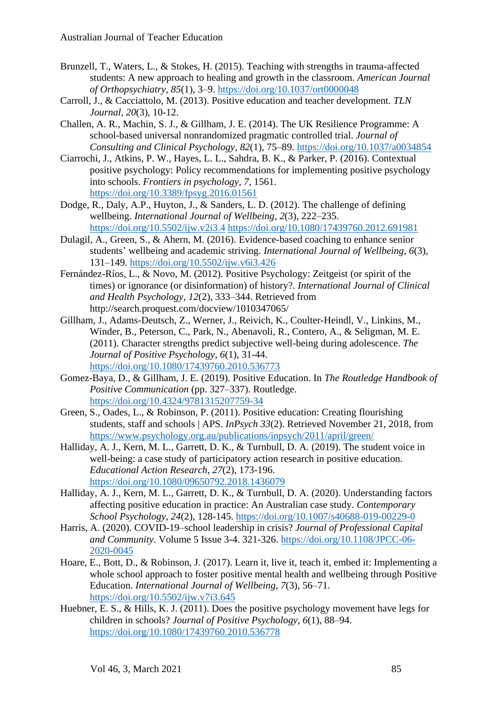- Brunzell, T., Waters, L., & Stokes, H. (2015). Teaching with strengths in trauma-affected students: A new approach to healing and growth in the classroom. *American Journal of Orthopsychiatry*, *85*(1), 3–9.<https://doi.org/10.1037/ort0000048>
- Carroll, J., & Cacciattolo, M. (2013). Positive education and teacher development. *TLN Journal*, *20*(3), 10-12.
- Challen, A. R., Machin, S. J., & Gillham, J. E. (2014). The UK Resilience Programme: A school-based universal nonrandomized pragmatic controlled trial. *Journal of Consulting and Clinical Psychology*, *82*(1), 75–89.<https://doi.org/10.1037/a0034854>
- Ciarrochi, J., Atkins, P. W., Hayes, L. L., Sahdra, B. K., & Parker, P. (2016). Contextual positive psychology: Policy recommendations for implementing positive psychology into schools. *Frontiers in psychology*, *7*, 1561. <https://doi.org/10.3389/fpsyg.2016.01561>
- Dodge, R., Daly, A.P., Huyton, J., & Sanders, L. D. (2012). The challenge of defining wellbeing. *International Journal of Wellbeing*, *2*(3), 222–235. <https://doi.org/10.5502/ijw.v2i3.4> <https://doi.org/10.1080/17439760.2012.691981>
- Dulagil, A., Green, S., & Ahern, M. (2016). Evidence-based coaching to enhance senior students' wellbeing and academic striving. *International Journal of Wellbeing*, *6*(3), 131–149.<https://doi.org/10.5502/ijw.v6i3.426>
- Fernández-Ríos, L., & Novo, M. (2012). Positive Psychology: Zeitgeist (or spirit of the times) or ignorance (or disinformation) of history?. *International Journal of Clinical and Health Psychology*, *12*(2), 333–344. Retrieved from http://search.proquest.com/docview/1010347065/
- Gillham, J., Adams-Deutsch, Z., Werner, J., Reivich, K., Coulter-Heindl, V., Linkins, M., Winder, B., Peterson, C., Park, N., Abenavoli, R., Contero, A., & Seligman, M. E. (2011). Character strengths predict subjective well-being during adolescence. *The Journal of Positive Psychology*, *6*(1), 31-44. <https://doi.org/10.1080/17439760.2010.536773>
- Gomez-Baya, D., & Gillham, J. E. (2019). Positive Education. In *The Routledge Handbook of Positive Communication* (pp. 327–337). Routledge. <https://doi.org/10.4324/9781315207759-34>
- Green, S., Oades, L., & Robinson, P. (2011). Positive education: Creating flourishing students, staff and schools | APS. *InPsych 33*(2). Retrieved November 21, 2018, from <https://www.psychology.org.au/publications/inpsych/2011/april/green/>
- Halliday, A. J., Kern, M. L., Garrett, D. K., & Turnbull, D. A. (2019). The student voice in well-being: a case study of participatory action research in positive education. *Educational Action Research*, *27*(2), 173-196. <https://doi.org/10.1080/09650792.2018.1436079>
- Halliday, A. J., Kern, M. L., Garrett, D. K., & Turnbull, D. A. (2020). Understanding factors affecting positive education in practice: An Australian case study. *Contemporary School Psychology*, *24*(2), 128-145. <https://doi.org/10.1007/s40688-019-00229-0>
- Harris, A. (2020). COVID-19–school leadership in crisis? *Journal of Professional Capital and Community*. Volume 5 Issue 3-4. 321-326. [https://doi.org/10.1108/JPCC-06-](https://doi.org/10.1108/JPCC-06-2020-0045) [2020-0045](https://doi.org/10.1108/JPCC-06-2020-0045)
- Hoare, E., Bott, D., & Robinson, J. (2017). Learn it, live it, teach it, embed it: Implementing a whole school approach to foster positive mental health and wellbeing through Positive Education. *International Journal of Wellbeing*, *7*(3), 56–71. <https://doi.org/10.5502/ijw.v7i3.645>
- Huebner, E. S., & Hills, K. J. (2011). Does the positive psychology movement have legs for children in schools? *Journal of Positive Psychology*, *6*(1), 88–94. <https://doi.org/10.1080/17439760.2010.536778>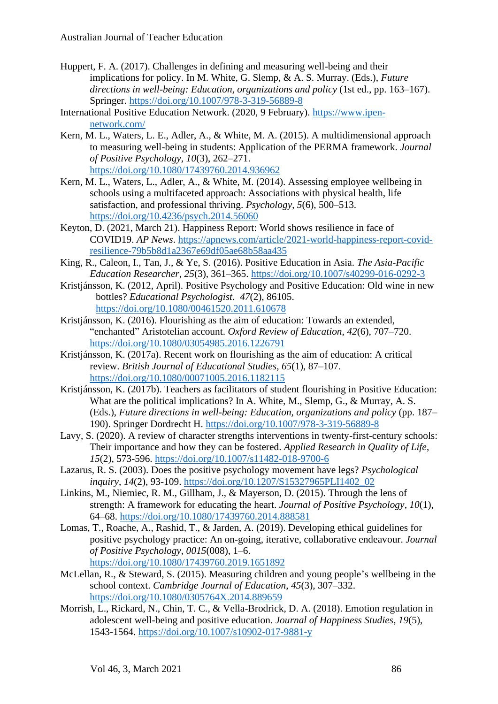- Huppert, F. A. (2017). Challenges in defining and measuring well-being and their implications for policy. In M. White, G. Slemp, & A. S. Murray. (Eds.), *Future directions in well-being: Education, organizations and policy* (1st ed., pp. 163–167). Springer.<https://doi.org/10.1007/978-3-319-56889-8>
- International Positive Education Network. (2020, 9 February). [https://www.ipen](https://www.ipen-network.com/)[network.com/](https://www.ipen-network.com/)
- Kern, M. L., Waters, L. E., Adler, A., & White, M. A. (2015). A multidimensional approach to measuring well-being in students: Application of the PERMA framework. *Journal of Positive Psychology*, *10*(3), 262–271. <https://doi.org/10.1080/17439760.2014.936962>
- Kern, M. L., Waters, L., Adler, A., & White, M. (2014). Assessing employee wellbeing in schools using a multifaceted approach: Associations with physical health, life satisfaction, and professional thriving. *Psychology*, *5*(6), 500–513. <https://doi.org/10.4236/psych.2014.56060>
- Keyton, D. (2021, March 21). Happiness Report: World shows resilience in face of COVID19. *AP News*. [https://apnews.com/article/2021-world-happiness-report-covid](https://apnews.com/article/2021-world-happiness-report-covid-resilience-79b5b8d1a2367e69df05ae68b58aa435)[resilience-79b5b8d1a2367e69df05ae68b58aa435](https://apnews.com/article/2021-world-happiness-report-covid-resilience-79b5b8d1a2367e69df05ae68b58aa435)
- King, R., Caleon, I., Tan, J., & Ye, S. (2016). Positive Education in Asia. *The Asia-Pacific Education Researcher*, *25*(3), 361–365.<https://doi.org/10.1007/s40299-016-0292-3>
- Kristjánsson, K. (2012, April). Positive Psychology and Positive Education: Old wine in new bottles? *Educational Psychologist*. *47*(2), 86105. <https://doi.org/10.1080/00461520.2011.610678>
- Kristjánsson, K. (2016). Flourishing as the aim of education: Towards an extended, "enchanted" Aristotelian account. *Oxford Review of Education*, *42*(6), 707–720. <https://doi.org/10.1080/03054985.2016.1226791>
- Kristjánsson, K. (2017a). Recent work on flourishing as the aim of education: A critical review. *British Journal of Educational Studies*, *65*(1), 87–107. <https://doi.org/10.1080/00071005.2016.1182115>
- Kristiánsson, K. (2017b). Teachers as facilitators of student flourishing in Positive Education: What are the political implications? In A. White, M., Slemp, G., & Murray, A. S. (Eds.), *Future directions in well-being: Education, organizations and policy* (pp. 187– 190). Springer Dordrecht H.<https://doi.org/10.1007/978-3-319-56889-8>
- Lavy, S. (2020). A review of character strengths interventions in twenty-first-century schools: Their importance and how they can be fostered. *Applied Research in Quality of Life*, *15*(2), 573-596. <https://doi.org/10.1007/s11482-018-9700-6>
- Lazarus, R. S. (2003). Does the positive psychology movement have legs? *Psychological inquiry*, *14*(2), 93-109. [https://doi.org/10.1207/S15327965PLI1402\\_02](https://doi.org/10.1207/S15327965PLI1402_02)
- Linkins, M., Niemiec, R. M., Gillham, J., & Mayerson, D. (2015). Through the lens of strength: A framework for educating the heart. *Journal of Positive Psychology*, *10*(1), 64–68.<https://doi.org/10.1080/17439760.2014.888581>
- Lomas, T., Roache, A., Rashid, T., & Jarden, A. (2019). Developing ethical guidelines for positive psychology practice: An on-going, iterative, collaborative endeavour. *Journal of Positive Psychology*, *0015*(008), 1–6. <https://doi.org/10.1080/17439760.2019.1651892>
- McLellan, R., & Steward, S. (2015). Measuring children and young people's wellbeing in the school context. *Cambridge Journal of Education*, *45*(3), 307–332. <https://doi.org/10.1080/0305764X.2014.889659>
- Morrish, L., Rickard, N., Chin, T. C., & Vella-Brodrick, D. A. (2018). Emotion regulation in adolescent well-being and positive education. *Journal of Happiness Studies*, *19*(5), 1543-1564. <https://doi.org/10.1007/s10902-017-9881-y>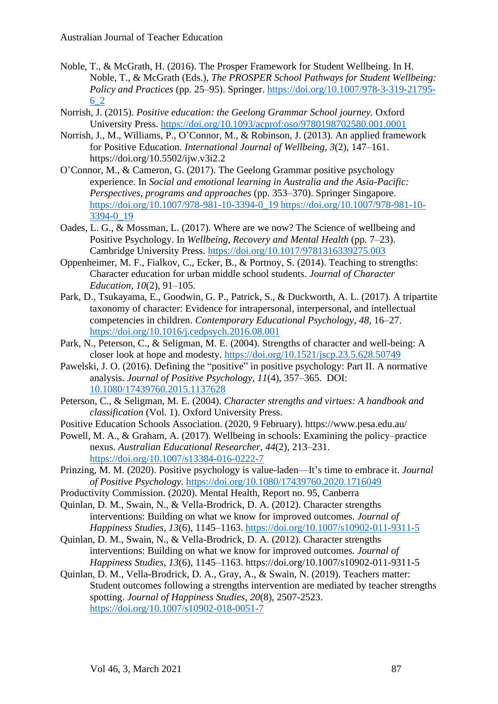- Noble, T., & McGrath, H. (2016). The Prosper Framework for Student Wellbeing. In H. Noble, T., & McGrath (Eds.), *The PROSPER School Pathways for Student Wellbeing: Policy and Practices* (pp. 25–95). Springer. [https://doi.org/10.1007/978-3-319-21795-](https://doi.org/10.1007/978-3-319-21795-6_2) [6\\_2](https://doi.org/10.1007/978-3-319-21795-6_2)
- Norrish, J. (2015). *Positive education: the Geelong Grammar School journey.* Oxford University Press. <https://doi.org/10.1093/acprof:oso/9780198702580.001.0001>
- Norrish, J., M., Williams, P., O'Connor, M., & Robinson, J. (2013). An applied framework for Positive Education. *International Journal of Wellbeing*, *3*(2), 147–161. https://doi.org/10.5502/ijw.v3i2.2
- O'Connor, M., & Cameron, G. (2017). The Geelong Grammar positive psychology experience. In *Social and emotional learning in Australia and the Asia-Pacific: Perspectives, programs and approaches* (pp. 353–370). Springer Singapore. [https://doi.org/10.1007/978-981-10-3394-0\\_19](https://doi.org/10.1007/978-981-10-3394-0_19) [https://doi.org/10.1007/978-981-10-](https://doi.org/10.1007/978-981-10-3394-0_19) [3394-0\\_19](https://doi.org/10.1007/978-981-10-3394-0_19)
- Oades, L. G., & Mossman, L. (2017). Where are we now? The Science of wellbeing and Positive Psychology. In *Wellbeing, Recovery and Mental Health* (pp. 7–23). Cambridge University Press. <https://doi.org/10.1017/9781316339275.003>
- Oppenheimer, M. F., Fialkov, C., Ecker, B., & Portnoy, S. (2014). Teaching to strengths: Character education for urban middle school students. *Journal of Character Education*, *10*(2), 91–105.
- Park, D., Tsukayama, E., Goodwin, G. P., Patrick, S., & Duckworth, A. L. (2017). A tripartite taxonomy of character: Evidence for intrapersonal, interpersonal, and intellectual competencies in children. *Contemporary Educational Psychology*, *48*, 16–27. <https://doi.org/10.1016/j.cedpsych.2016.08.001>
- Park, N., Peterson, C., & Seligman, M. E. (2004). Strengths of character and well-being: A closer look at hope and modesty. <https://doi.org/10.1521/jscp.23.5.628.50749>
- Pawelski, J. O. (2016). Defining the "positive" in positive psychology: Part II. A normative analysis. *Journal of Positive Psychology*, *11*(4), 357–365. DOI: [10.1080/17439760.2015.1137628](https://doi.org/10.1080/17439760.2015.1137628)
- Peterson, C., & Seligman, M. E. (2004). *Character strengths and virtues: A handbook and classification* (Vol. 1). Oxford University Press.
- Positive Education Schools Association. (2020, 9 February). https://www.pesa.edu.au/
- Powell, M. A., & Graham, A. (2017). Wellbeing in schools: Examining the policy–practice nexus. *Australian Educational Researcher*, *44*(2), 213–231. <https://doi.org/10.1007/s13384-016-0222-7>
- Prinzing, M. M. (2020). Positive psychology is value-laden—It's time to embrace it. *Journal of Positive Psychology*.<https://doi.org/10.1080/17439760.2020.1716049>
- Productivity Commission. (2020). Mental Health, Report no. 95, Canberra
- Quinlan, D. M., Swain, N., & Vella-Brodrick, D. A. (2012). Character strengths interventions: Building on what we know for improved outcomes. *Journal of Happiness Studies*, *13*(6), 1145–1163.<https://doi.org/10.1007/s10902-011-9311-5>
- Quinlan, D. M., Swain, N., & Vella-Brodrick, D. A. (2012). Character strengths interventions: Building on what we know for improved outcomes. *Journal of Happiness Studies*, *13*(6), 1145–1163. https://doi.org/10.1007/s10902-011-9311-5
- Quinlan, D. M., Vella-Brodrick, D. A., Gray, A., & Swain, N. (2019). Teachers matter: Student outcomes following a strengths intervention are mediated by teacher strengths spotting. *Journal of Happiness Studies*, *20*(8), 2507-2523. <https://doi.org/10.1007/s10902-018-0051-7>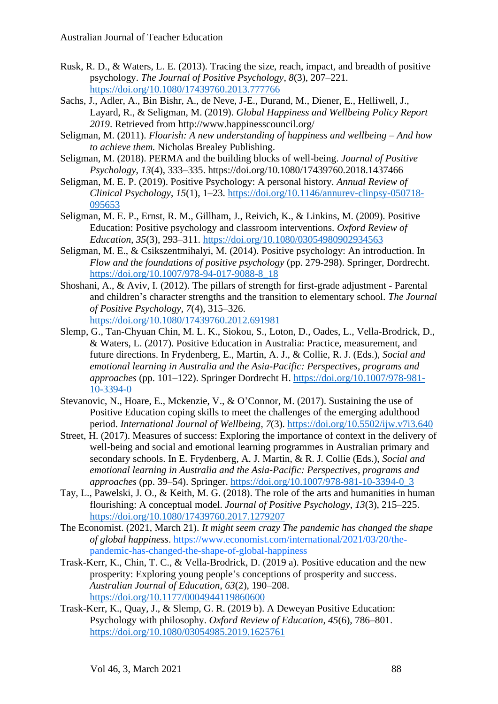- Rusk, R. D., & Waters, L. E. (2013). Tracing the size, reach, impact, and breadth of positive psychology. *The Journal of Positive Psychology*, *8*(3), 207–221. <https://doi.org/10.1080/17439760.2013.777766>
- Sachs, J., Adler, A., Bin Bishr, A., de Neve, J-E., Durand, M., Diener, E., Helliwell, J., Layard, R., & Seligman, M. (2019). *Global Happiness and Wellbeing Policy Report 2019*. Retrieved from http://www.happinesscouncil.org/
- Seligman, M. (2011). *Flourish: A new understanding of happiness and wellbeing – And how to achieve them.* Nicholas Brealey Publishing.
- Seligman, M. (2018). PERMA and the building blocks of well-being. *Journal of Positive Psychology*, *13*(4), 333–335. https://doi.org/10.1080/17439760.2018.1437466
- Seligman, M. E. P. (2019). Positive Psychology: A personal history. *Annual Review of Clinical Psychology*, *15*(1), 1–23. [https://doi.org/10.1146/annurev-clinpsy-050718-](https://doi.org/10.1146/annurev-clinpsy-050718-095653) [095653](https://doi.org/10.1146/annurev-clinpsy-050718-095653)
- Seligman, M. E. P., Ernst, R. M., Gillham, J., Reivich, K., & Linkins, M. (2009). Positive Education: Positive psychology and classroom interventions. *Oxford Review of Education*, *35*(3), 293–311.<https://doi.org/10.1080/03054980902934563>
- Seligman, M. E., & Csikszentmihalyi, M. (2014). Positive psychology: An introduction. In *Flow and the foundations of positive psychology* (pp. 279-298). Springer, Dordrecht. [https://doi.org/10.1007/978-94-017-9088-8\\_18](https://doi.org/10.1007/978-94-017-9088-8_18)
- Shoshani, A., & Aviv, I. (2012). The pillars of strength for first-grade adjustment Parental and children's character strengths and the transition to elementary school. *The Journal of Positive Psychology*, *7*(4), 315–326. <https://doi.org/10.1080/17439760.2012.691981>
- Slemp, G., Tan-Chyuan Chin, M. L. K., Siokou, S., Loton, D., Oades, L., Vella-Brodrick, D., & Waters, L. (2017). Positive Education in Australia: Practice, measurement, and future directions. In Frydenberg, E., Martin, A. J., & Collie, R. J. (Eds.), *Social and emotional learning in Australia and the Asia-Pacific: Perspectives, programs and approaches* (pp. 101–122). Springer Dordrecht H. [https://doi.org/10.1007/978-981-](https://doi.org/10.1007/978-981-10-3394-0) [10-3394-0](https://doi.org/10.1007/978-981-10-3394-0)
- Stevanovic, N., Hoare, E., Mckenzie, V., & O'Connor, M. (2017). Sustaining the use of Positive Education coping skills to meet the challenges of the emerging adulthood period. *International Journal of Wellbeing*, *7*(3). <https://doi.org/10.5502/ijw.v7i3.640>
- Street, H. (2017). Measures of success: Exploring the importance of context in the delivery of well-being and social and emotional learning programmes in Australian primary and secondary schools. In E. Frydenberg, A. J. Martin, & R. J. Collie (Eds.), *Social and emotional learning in Australia and the Asia-Pacific: Perspectives, programs and approaches* (pp. 39–54). Springer. [https://doi.org/10.1007/978-981-10-3394-0\\_3](https://doi.org/10.1007/978-981-10-3394-0_3)
- Tay, L., Pawelski, J. O., & Keith, M. G. (2018). The role of the arts and humanities in human flourishing: A conceptual model. *Journal of Positive Psychology*, *13*(3), 215–225. <https://doi.org/10.1080/17439760.2017.1279207>
- The Economist. (2021, March 21). *It might seem crazy The pandemic has changed the shape of global happiness*. [https://www.economist.com/international/2021/03/20/the](https://www.economist.com/international/2021/03/20/the-pandemic-has-changed-the-shape-of-global-happiness)[pandemic-has-changed-the-shape-of-global-happiness](https://www.economist.com/international/2021/03/20/the-pandemic-has-changed-the-shape-of-global-happiness)
- Trask-Kerr, K., Chin, T. C., & Vella-Brodrick, D. (2019 a). Positive education and the new prosperity: Exploring young people's conceptions of prosperity and success. *Australian Journal of Education*, *63*(2), 190–208. <https://doi.org/10.1177/0004944119860600>
- Trask-Kerr, K., Quay, J., & Slemp, G. R. (2019 b). A Deweyan Positive Education: Psychology with philosophy. *Oxford Review of Education*, *45*(6), 786–801. <https://doi.org/10.1080/03054985.2019.1625761>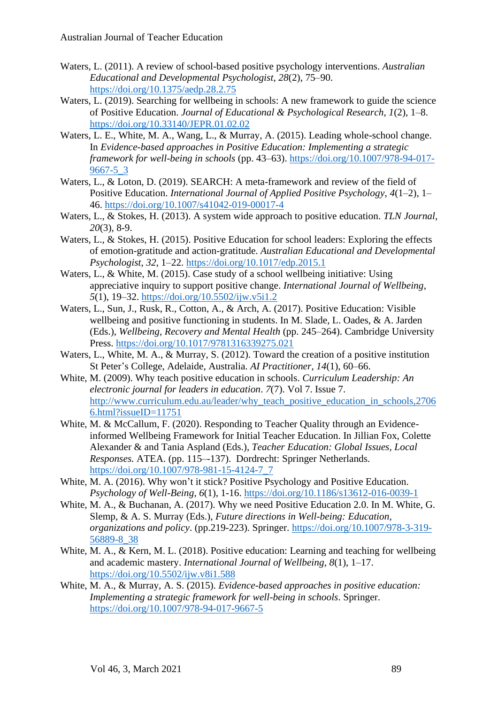- Waters, L. (2011). A review of school-based positive psychology interventions. *Australian Educational and Developmental Psychologist*, *28*(2), 75–90. <https://doi.org/10.1375/aedp.28.2.75>
- Waters, L. (2019). Searching for wellbeing in schools: A new framework to guide the science of Positive Education. *Journal of Educational & Psychological Research*, *1*(2), 1–8. <https://doi.org/10.33140/JEPR.01.02.02>
- Waters, L. E., White, M. A., Wang, L., & Murray, A. (2015). Leading whole-school change. In *Evidence-based approaches in Positive Education: Implementing a strategic framework for well-being in schools* (pp. 43–63). [https://doi.org/10.1007/978-94-017-](https://doi.org/10.1007/978-94-017-9667-5_3) [9667-5\\_3](https://doi.org/10.1007/978-94-017-9667-5_3)
- Waters, L., & Loton, D. (2019). SEARCH: A meta-framework and review of the field of Positive Education. *International Journal of Applied Positive Psychology*, *4*(1–2), 1– 46.<https://doi.org/10.1007/s41042-019-00017-4>
- Waters, L., & Stokes, H. (2013). A system wide approach to positive education. *TLN Journal*, *20*(3), 8-9.
- Waters, L., & Stokes, H. (2015). Positive Education for school leaders: Exploring the effects of emotion-gratitude and action-gratitude. *Australian Educational and Developmental Psychologist*, *32*, 1–22.<https://doi.org/10.1017/edp.2015.1>
- Waters, L., & White, M. (2015). Case study of a school wellbeing initiative: Using appreciative inquiry to support positive change. *International Journal of Wellbeing*, *5*(1), 19–32.<https://doi.org/10.5502/ijw.v5i1.2>
- Waters, L., Sun, J., Rusk, R., Cotton, A., & Arch, A. (2017). Positive Education: Visible wellbeing and positive functioning in students. In M. Slade, L. Oades, & A. Jarden (Eds.), *Wellbeing, Recovery and Mental Health* (pp. 245–264). Cambridge University Press.<https://doi.org/10.1017/9781316339275.021>
- Waters, L., White, M. A., & Murray, S. (2012). Toward the creation of a positive institution St Peter's College, Adelaide, Australia. *AI Practitioner*, *14*(1), 60–66.
- White, M. (2009). Why teach positive education in schools. *Curriculum Leadership: An electronic journal for leaders in education*. *7*(7). Vol 7. Issue 7. [http://www.curriculum.edu.au/leader/why\\_teach\\_positive\\_education\\_in\\_schools,2706](http://www.curriculum.edu.au/leader/why_teach_positive_education_in_schools,27066.html?issueID=11751) [6.html?issueID=11751](http://www.curriculum.edu.au/leader/why_teach_positive_education_in_schools,27066.html?issueID=11751)
- White, M. & McCallum, F. (2020). Responding to Teacher Quality through an Evidenceinformed Wellbeing Framework for Initial Teacher Education. In Jillian Fox, Colette Alexander & and Tania Aspland (Eds.), *Teacher Education: Global Issues, Local Responses.* ATEA. (pp. 115–-137). Dordrecht: Springer Netherlands. [https://doi.org/10.1007/978-981-15-4124-7\\_7](https://doi.org/10.1007/978-981-15-4124-7_7)
- White, M. A. (2016). Why won't it stick? Positive Psychology and Positive Education. *Psychology of Well-Being*, *6*(1), 1-16.<https://doi.org/10.1186/s13612-016-0039-1>
- White, M. A., & Buchanan, A. (2017). Why we need Positive Education 2.0. In M. White, G. Slemp, & A. S. Murray (Eds.), *Future directions in Well-being: Education, organizations and policy*. (pp.219-223). Springer. [https://doi.org/10.1007/978-3-319-](https://doi.org/10.1007/978-3-319-56889-8_38) [56889-8\\_38](https://doi.org/10.1007/978-3-319-56889-8_38)
- White, M. A., & Kern, M. L. (2018). Positive education: Learning and teaching for wellbeing and academic mastery. *International Journal of Wellbeing*, *8*(1), 1–17. <https://doi.org/10.5502/ijw.v8i1.588>
- White, M. A., & Murray, A. S. (2015). *Evidence-based approaches in positive education: Implementing a strategic framework for well-being in schools*. Springer. <https://doi.org/10.1007/978-94-017-9667-5>